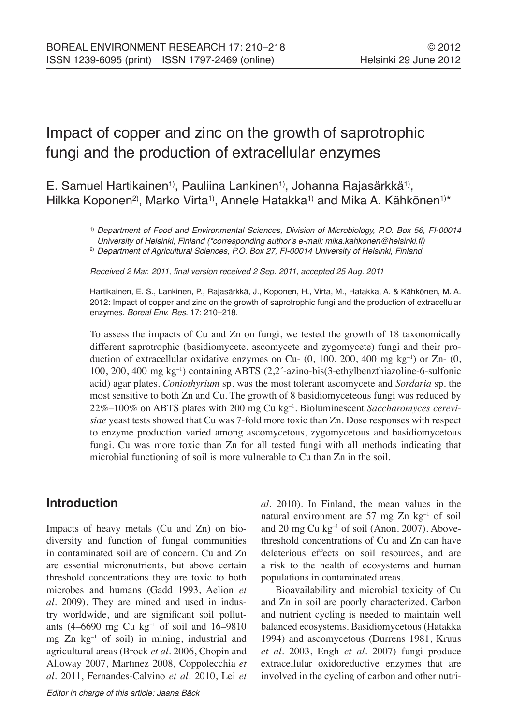# Impact of copper and zinc on the growth of saprotrophic fungi and the production of extracellular enzymes

E. Samuel Hartikainen<sup>1</sup>, Pauliina Lankinen<sup>1</sup>, Johanna Rajasärkkä<sup>1</sup>, Hilkka Koponen<sup>2)</sup>, Marko Virta<sup>1)</sup>, Annele Hatakka<sup>1)</sup> and Mika A. Kähkönen<sup>1)\*</sup>

> 1) Department of Food and Environmental Sciences, Division of Microbiology, P.O. Box 56, FI-00014 University of Helsinki, Finland (\*corresponding author's e-mail: mika.kahkonen@helsinki.fi)

<sup>2)</sup> Department of Agricultural Sciences, P.O. Box 27, FI-00014 University of Helsinki, Finland

Received 2 Mar. 2011, final version received 2 Sep. 2011, accepted 25 Aug. 2011

Hartikainen, E. S., Lankinen, P., Rajasärkkä, J., Koponen, H., Virta, M., Hatakka, A. & Kähkönen, M. A. 2012: Impact of copper and zinc on the growth of saprotrophic fungi and the production of extracellular enzymes. Boreal Env. Res. 17: 210–218.

To assess the impacts of Cu and Zn on fungi, we tested the growth of 18 taxonomically different saprotrophic (basidiomycete, ascomycete and zygomycete) fungi and their production of extracellular oxidative enzymes on Cu-  $(0, 100, 200, 400 \text{ mg kg}^{-1})$  or Zn-  $(0, 100, 200, 400 \text{ mg kg}^{-1})$ 100, 200, 400 mg kg<sup>-1</sup>) containing ABTS  $(2,2)$ -azino-bis(3-ethylbenzthiazoline-6-sulfonic acid) agar plates. *Coniothyrium* sp. was the most tolerant ascomycete and *Sordaria* sp*.* the most sensitive to both Zn and Cu. The growth of 8 basidiomyceteous fungi was reduced by 22%–100% on ABTS plates with 200 mg Cu kg–1. Bioluminescent *Saccharomyces cerevisiae* yeast tests showed that Cu was 7-fold more toxic than Zn. Dose responses with respect to enzyme production varied among ascomycetous, zygomycetous and basidiomycetous fungi. Cu was more toxic than Zn for all tested fungi with all methods indicating that microbial functioning of soil is more vulnerable to Cu than Zn in the soil.

# **Introduction**

Impacts of heavy metals (Cu and Zn) on biodiversity and function of fungal communities in contaminated soil are of concern. Cu and Zn are essential micronutrients, but above certain threshold concentrations they are toxic to both microbes and humans (Gadd 1993, Aelion *et al.* 2009). They are mined and used in industry worldwide, and are significant soil pollutants (4–6690 mg Cu kg $^{-1}$  of soil and 16–9810 mg Zn kg–1 of soil) in mining, industrial and agricultural areas (Brock *et al.* 2006, Chopin and Alloway 2007, Martınez 2008, Coppolecchia *et al.* 2011, Fernandes-Calvino *et al.* 2010, Lei *et* 

Editor in charge of this article: Jaana Bäck

*al.* 2010). In Finland, the mean values in the natural environment are 57 mg Zn kg–1 of soil and 20 mg  $Cu$  kg $^{-1}$  of soil (Anon. 2007). Abovethreshold concentrations of Cu and Zn can have deleterious effects on soil resources, and are a risk to the health of ecosystems and human populations in contaminated areas.

Bioavailability and microbial toxicity of Cu and Zn in soil are poorly characterized. Carbon and nutrient cycling is needed to maintain well balanced ecosystems. Basidiomycetous (Hatakka 1994) and ascomycetous (Durrens 1981, Kruus *et al.* 2003, Engh *et al.* 2007) fungi produce extracellular oxidoreductive enzymes that are involved in the cycling of carbon and other nutri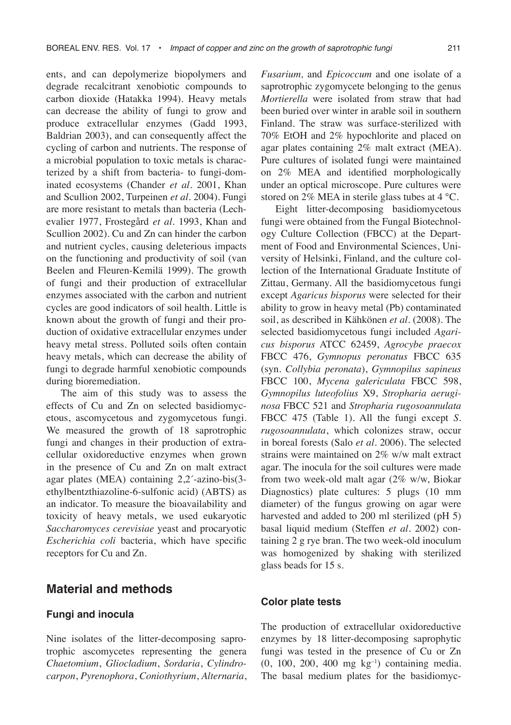ents, and can depolymerize biopolymers and degrade recalcitrant xenobiotic compounds to carbon dioxide (Hatakka 1994). Heavy metals can decrease the ability of fungi to grow and produce extracellular enzymes (Gadd 1993, Baldrian 2003), and can consequently affect the cycling of carbon and nutrients. The response of a microbial population to toxic metals is characterized by a shift from bacteria- to fungi-dominated ecosystems (Chander *et al.* 2001, Khan and Scullion 2002, Turpeinen *et al.* 2004). Fungi are more resistant to metals than bacteria (Lechevalier 1977, Frostegård *et al.* 1993, Khan and Scullion 2002). Cu and Zn can hinder the carbon and nutrient cycles, causing deleterious impacts on the functioning and productivity of soil (van Beelen and Fleuren-Kemilä 1999). The growth of fungi and their production of extracellular enzymes associated with the carbon and nutrient cycles are good indicators of soil health. Little is known about the growth of fungi and their production of oxidative extracellular enzymes under heavy metal stress. Polluted soils often contain heavy metals, which can decrease the ability of fungi to degrade harmful xenobiotic compounds during bioremediation.

The aim of this study was to assess the effects of Cu and Zn on selected basidiomycetous, ascomycetous and zygomycetous fungi. We measured the growth of 18 saprotrophic fungi and changes in their production of extracellular oxidoreductive enzymes when grown in the presence of Cu and Zn on malt extract agar plates (MEA) containing 2,2´-azino-bis(3 ethylbentzthiazoline-6-sulfonic acid) (ABTS) as an indicator. To measure the bioavailability and toxicity of heavy metals, we used eukaryotic *Saccharomyces cerevisiae* yeast and procaryotic *Escherichia coli* bacteria, which have specific receptors for Cu and Zn.

## **Material and methods**

#### **Fungi and inocula**

Nine isolates of the litter-decomposing saprotrophic ascomycetes representing the genera *Chaetomium*, *Gliocladium*, *Sordaria*, *Cylindrocarpon*, *Pyrenophora*, *Coniothyrium*, *Alternaria*, *Fusarium,* and *Epicoccum* and one isolate of a saprotrophic zygomycete belonging to the genus *Mortierella* were isolated from straw that had been buried over winter in arable soil in southern Finland. The straw was surface-sterilized with 70% EtOH and 2% hypochlorite and placed on agar plates containing 2% malt extract (MEA). Pure cultures of isolated fungi were maintained on 2% MEA and identified morphologically under an optical microscope. Pure cultures were stored on 2% MEA in sterile glass tubes at 4 °C.

Eight litter-decomposing basidiomycetous fungi were obtained from the Fungal Biotechnology Culture Collection (FBCC) at the Department of Food and Environmental Sciences, University of Helsinki, Finland, and the culture collection of the International Graduate Institute of Zittau, Germany. All the basidiomycetous fungi except *Agaricus bisporus* were selected for their ability to grow in heavy metal (Pb) contaminated soil, as described in Kähkönen *et al.* (2008). The selected basidiomycetous fungi included *Agaricus bisporus* ATCC 62459, *Agrocybe praecox* FBCC 476, *Gymnopus peronatus* FBCC 635 (syn. *Collybia peronata*), *Gymnopilus sapineus* FBCC 100, *Mycena galericulata* FBCC 598, *Gymnopilus luteofolius* X9, *Stropharia aeruginosa* FBCC 521 and *Stropharia rugosoannulata* FBCC 475 (Table 1). All the fungi except *S. rugosoannulata*, which colonizes straw, occur in boreal forests (Salo *et al.* 2006). The selected strains were maintained on 2% w/w malt extract agar. The inocula for the soil cultures were made from two week-old malt agar (2% w/w, Biokar Diagnostics) plate cultures: 5 plugs (10 mm diameter) of the fungus growing on agar were harvested and added to 200 ml sterilized (pH 5) basal liquid medium (Steffen *et al.* 2002) containing 2 g rye bran. The two week-old inoculum was homogenized by shaking with sterilized glass beads for 15 s.

#### **Color plate tests**

The production of extracellular oxidoreductive enzymes by 18 litter-decomposing saprophytic fungi was tested in the presence of Cu or Zn  $(0, 100, 200, 400 \text{ mg kg}^{-1})$  containing media. The basal medium plates for the basidiomyc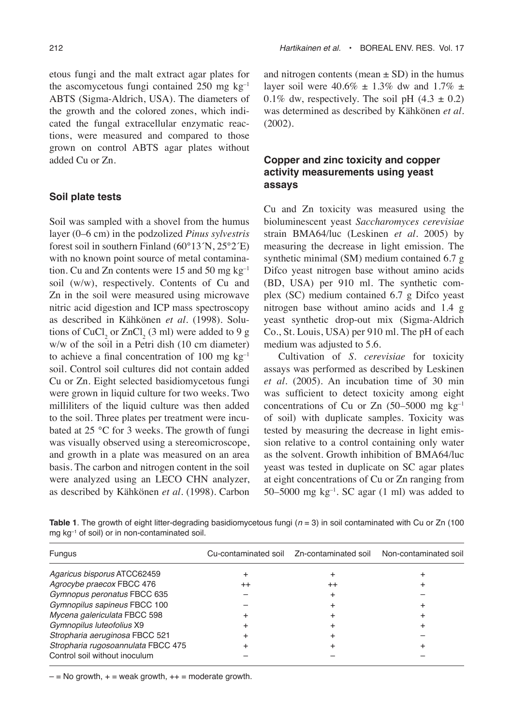etous fungi and the malt extract agar plates for the ascomycetous fungi contained 250 mg  $kg^{-1}$ ABTS (Sigma-Aldrich, USA). The diameters of the growth and the colored zones, which indicated the fungal extracellular enzymatic reactions, were measured and compared to those grown on control ABTS agar plates without added Cu or Zn.

#### **Soil plate tests**

Soil was sampled with a shovel from the humus layer (0–6 cm) in the podzolized *Pinus sylvestris* forest soil in southern Finland (60°13´N, 25°2´E) with no known point source of metal contamination. Cu and Zn contents were 15 and 50 mg kg–1 soil (w/w), respectively. Contents of Cu and Zn in the soil were measured using microwave nitric acid digestion and ICP mass spectroscopy as described in Kähkönen *et al.* (1998). Solutions of  $CuCl<sub>2</sub>$  or  $ZnCl<sub>2</sub>$  (3 ml) were added to 9 g w/w of the soil in a Petri dish (10 cm diameter) to achieve a final concentration of 100 mg  $kg^{-1}$ soil. Control soil cultures did not contain added Cu or Zn. Eight selected basidiomycetous fungi were grown in liquid culture for two weeks. Two milliliters of the liquid culture was then added to the soil. Three plates per treatment were incubated at 25 °C for 3 weeks. The growth of fungi was visually observed using a stereomicroscope, and growth in a plate was measured on an area basis. The carbon and nitrogen content in the soil were analyzed using an LECO CHN analyzer, as described by Kähkönen *et al.* (1998). Carbon

and nitrogen contents (mean  $\pm$  SD) in the humus layer soil were  $40.6\% \pm 1.3\%$  dw and  $1.7\% \pm 1.3\%$ 0.1% dw, respectively. The soil pH  $(4.3 \pm 0.2)$ was determined as described by Kähkönen *et al.* (2002).

## **Copper and zinc toxicity and copper activity measurements using yeast assays**

Cu and Zn toxicity was measured using the bioluminescent yeast *Saccharomyces cerevisiae* strain BMA64/luc (Leskinen *et al.* 2005) by measuring the decrease in light emission. The synthetic minimal (SM) medium contained 6.7 g Difco yeast nitrogen base without amino acids (BD, USA) per 910 ml. The synthetic complex (SC) medium contained 6.7 g Difco yeast nitrogen base without amino acids and 1.4 g yeast synthetic drop-out mix (Sigma-Aldrich Co., St. Louis, USA) per 910 ml. The pH of each medium was adjusted to 5.6.

Cultivation of *S. cerevisiae* for toxicity assays was performed as described by Leskinen *et al.* (2005). An incubation time of 30 min was sufficient to detect toxicity among eight concentrations of Cu or Zn  $(50-5000 \text{ mg kg}^{-1})$ of soil) with duplicate samples. Toxicity was tested by measuring the decrease in light emission relative to a control containing only water as the solvent. Growth inhibition of BMA64/luc yeast was tested in duplicate on SC agar plates at eight concentrations of Cu or Zn ranging from 50–5000 mg  $kg^{-1}$ . SC agar (1 ml) was added to

**Table 1.** The growth of eight litter-degrading basidiomycetous fungi  $(n = 3)$  in soil contaminated with Cu or Zn (100) mg kg–1 of soil) or in non-contaminated soil.

| Fungus                             |         | Cu-contaminated soil  Zn-contaminated soil | Non-contaminated soil |
|------------------------------------|---------|--------------------------------------------|-----------------------|
| Agaricus bisporus ATCC62459        |         |                                            |                       |
| Agrocybe praecox FBCC 476          | $^{++}$ | $^{++}$                                    |                       |
| Gymnopus peronatus FBCC 635        |         |                                            |                       |
| Gymnopilus sapineus FBCC 100       |         |                                            |                       |
| Mycena galericulata FBCC 598       |         |                                            |                       |
| Gymnopilus luteofolius X9          |         |                                            |                       |
| Stropharia aeruginosa FBCC 521     |         |                                            |                       |
| Stropharia rugosoannulata FBCC 475 |         |                                            |                       |
| Control soil without inoculum      |         |                                            |                       |

 $-$  = No growth,  $+$  = weak growth,  $++$  = moderate growth.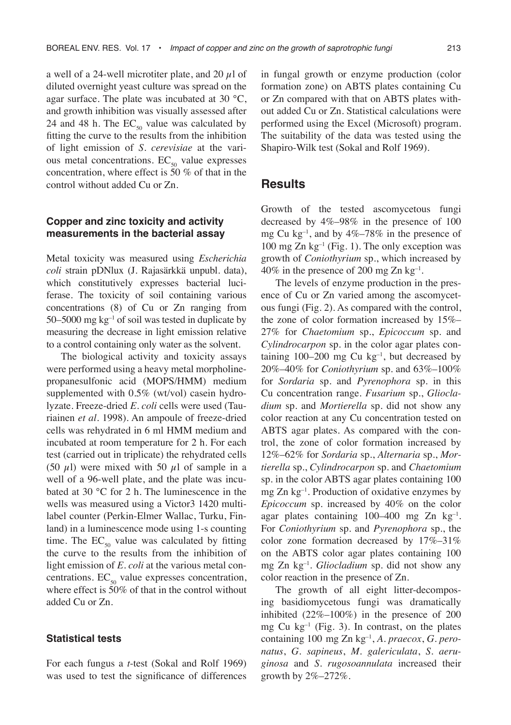a well of a 24-well microtiter plate, and 20  $\mu$ l of diluted overnight yeast culture was spread on the agar surface. The plate was incubated at 30 °C, and growth inhibition was visually assessed after 24 and 48 h. The  $EC_{50}$  value was calculated by fitting the curve to the results from the inhibition of light emission of *S. cerevisiae* at the various metal concentrations. EC<sub>50</sub> value expresses concentration, where effect is 50 % of that in the control without added Cu or Zn.

#### **Copper and zinc toxicity and activity measurements in the bacterial assay**

Metal toxicity was measured using *Escherichia coli* strain pDNlux (J. Rajasärkkä unpubl. data), which constitutively expresses bacterial luciferase. The toxicity of soil containing various concentrations (8) of Cu or Zn ranging from 50–5000 mg  $kg^{-1}$  of soil was tested in duplicate by measuring the decrease in light emission relative to a control containing only water as the solvent.

The biological activity and toxicity assays were performed using a heavy metal morpholinepropanesulfonic acid (MOPS/HMM) medium supplemented with 0.5% (wt/vol) casein hydrolyzate. Freeze-dried *E. coli* cells were used (Tauriainen *et al.* 1998). An ampoule of freeze-dried cells was rehydrated in 6 ml HMM medium and incubated at room temperature for 2 h. For each test (carried out in triplicate) the rehydrated cells (50  $\mu$ l) were mixed with 50  $\mu$ l of sample in a well of a 96-well plate, and the plate was incubated at 30 °C for 2 h. The luminescence in the wells was measured using a Victor 3 1420 multilabel counter (Perkin-Elmer Wallac, Turku, Finland) in a luminescence mode using 1-s counting time. The  $EC_{50}$  value was calculated by fitting the curve to the results from the inhibition of light emission of *E. coli* at the various metal concentrations.  $EC_{50}$  value expresses concentration, where effect is 50% of that in the control without added Cu or Zn.

#### **Statistical tests**

For each fungus a *t*-test (Sokal and Rolf 1969) was used to test the significance of differences

in fungal growth or enzyme production (color formation zone) on ABTS plates containing Cu or Zn compared with that on ABTS plates without added Cu or Zn. Statistical calculations were performed using the Excel (Microsoft) program. The suitability of the data was tested using the Shapiro-Wilk test (Sokal and Rolf 1969).

## **Results**

Growth of the tested ascomycetous fungi decreased by 4%–98% in the presence of 100 mg Cu kg<sup>-1</sup>, and by  $4\%$ -78% in the presence of 100 mg Zn  $kg^{-1}$  (Fig. 1). The only exception was growth of *Coniothyrium* sp*.*, which increased by  $40\%$  in the presence of 200 mg Zn kg<sup>-1</sup>.

The levels of enzyme production in the presence of Cu or Zn varied among the ascomycetous fungi (Fig. 2). As compared with the control, the zone of color formation increased by 15%– 27% for *Chaetomium* sp., *Epicoccum* sp. and *Cylindrocarpon* sp. in the color agar plates containing 100–200 mg Cu  $kg^{-1}$ , but decreased by 20%–40% for *Coniothyrium* sp. and 63%–100% for *Sordaria* sp. and *Pyrenophora* sp. in this Cu concentration range. *Fusarium* sp., *Gliocladium* sp*.* and *Mortierella* sp*.* did not show any color reaction at any Cu concentration tested on ABTS agar plates. As compared with the control, the zone of color formation increased by 12%–62% for *Sordaria* sp., *Alternaria* sp., *Mortierella* sp., *Cylindrocarpon* sp. and *Chaetomium* sp. in the color ABTS agar plates containing 100 mg Zn kg–1. Production of oxidative enzymes by *Epicoccum* sp. increased by 40% on the color agar plates containing 100–400 mg Zn kg–1*.* For *Coniothyrium* sp. and *Pyrenophora* sp., the color zone formation decreased by 17%–31% on the ABTS color agar plates containing 100 mg Zn kg–1. *Gliocladium* sp. did not show any color reaction in the presence of Zn.

The growth of all eight litter-decomposing basidiomycetous fungi was dramatically inhibited (22%–100%) in the presence of 200 mg Cu  $kg^{-1}$  (Fig. 3). In contrast, on the plates containing 100 mg Zn kg–1, *A. praecox*, *G. peronatus*, *G. sapineus*, *M. galericulata*, *S. aeruginosa* and *S. rugosoannulata* increased their growth by 2%–272%.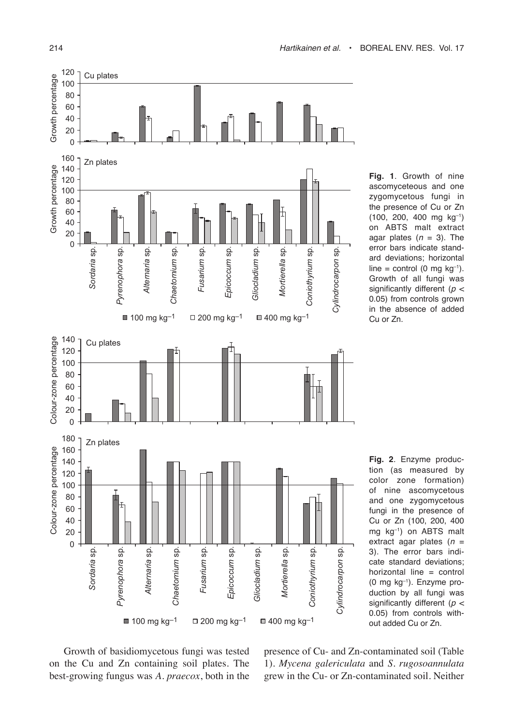## 214 Hartikainen et al. • Boreal Env. Res. Vol. 17



**Fig. 1**. Growth of nine ascomyceteous and one zygomycetous fungi in the presence of Cu or Zn (100, 200, 400 mg kg–1) on ABTS malt extract agar plates  $(n = 3)$ . The error bars indicate standard deviations; horizontal line = control (0 mg  $kg^{-1}$ ). Growth of all fungi was significantly different ( $p <$ 0.05) from controls grown in the absence of added Cu or Zn.

**Fig. 2**. Enzyme production (as measured by color zone formation) of nine ascomycetous and one zygomycetous fungi in the presence of Cu or Zn (100, 200, 400 mg kg–1) on ABTS malt extract agar plates  $(n =$ 3). The error bars indicate standard deviations; horizontal line = control (0 mg kg–1). Enzyme production by all fungi was significantly different ( $p <$ 0.05) from controls without added Cu or Zn.

Growth of basidiomycetous fungi was tested on the Cu and Zn containing soil plates. The best-growing fungus was *A. praecox*, both in the presence of Cu- and Zn-contaminated soil (Table 1). *Mycena galericulata* and *S. rugosoannulata* grew in the Cu- or Zn-contaminated soil. Neither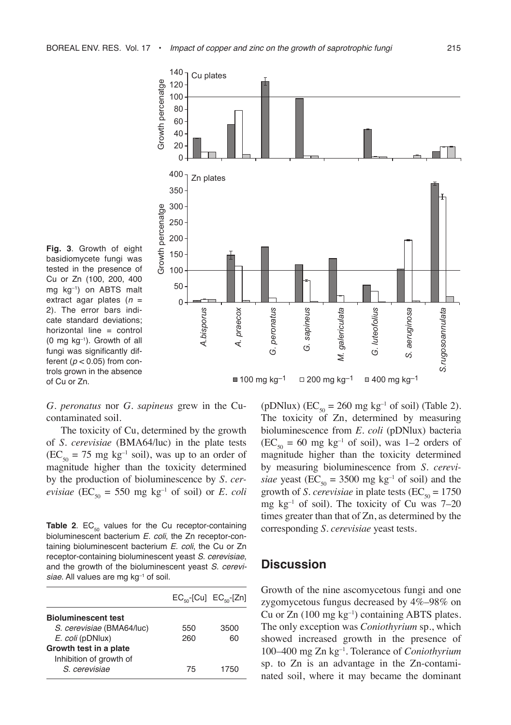

**Fig. 3**. Growth of eight basidiomycete fungi was tested in the presence of Cu or Zn (100, 200, 400 mg kg–1) on ABTS malt extract agar plates  $(n =$ 2). The error bars indicate standard deviations; horizontal line = control (0 mg kg–1). Growth of all fungi was significantly different ( $p$  < 0.05) from controls grown in the absence of Cu or Zn.

*G. peronatus* nor *G. sapineus* grew in the Cucontaminated soil.

The toxicity of Cu, determined by the growth of *S. cerevisiae* (BMA64/luc) in the plate tests  $(EC_{50} = 75 \text{ mg kg}^{-1} \text{ soil})$ , was up to an order of magnitude higher than the toxicity determined by the production of bioluminescence by *S. cerevisiae* (EC<sub>50</sub> = 550 mg kg<sup>-1</sup> of soil) or *E. coli* 

**Table 2**.  $EC_{50}$  values for the Cu receptor-containing bioluminescent bacterium E. coli, the Zn receptor-containing bioluminescent bacterium E. coli, the Cu or Zn receptor-containing bioluminescent yeast S. cerevisiae, and the growth of the bioluminescent yeast S. cerevisiae. All values are mg kg<sup>-1</sup> of soil.

|                            | $EC_{\kappa_0}$ [Cu] $EC_{\kappa_0}$ [Zn] |      |
|----------------------------|-------------------------------------------|------|
| <b>Bioluminescent test</b> |                                           |      |
| S. cerevisiae (BMA64/luc)  | 550                                       | 3500 |
| E. coli (pDNlux)           | 260                                       | 60   |
| Growth test in a plate     |                                           |      |
| Inhibition of growth of    |                                           |      |
| S. cerevisiae              | 75                                        | 1750 |

(pDNlux) ( $EC_{50} = 260$  mg kg<sup>-1</sup> of soil) (Table 2). The toxicity of Zn, determined by measuring bioluminescence from *E. coli* (pDNlux) bacteria  $(EC_{50} = 60$  mg kg<sup>-1</sup> of soil), was 1-2 orders of magnitude higher than the toxicity determined by measuring bioluminescence from *S. cerevisiae* yeast (EC<sub>50</sub> = 3500 mg kg<sup>-1</sup> of soil) and the growth of *S. cerevisiae* in plate tests ( $EC_{50} = 1750$ mg  $kg^{-1}$  of soil). The toxicity of Cu was 7–20 times greater than that of Zn, as determined by the corresponding *S. cerevisiae* yeast tests.

## **Discussion**

Growth of the nine ascomycetous fungi and one zygomycetous fungus decreased by 4%–98% on Cu or  $Zn$  (100 mg kg<sup>-1</sup>) containing ABTS plates. The only exception was *Coniothyrium* sp., which showed increased growth in the presence of 100–400 mg Zn kg–1. Tolerance of *Coniothyrium* sp. to Zn is an advantage in the Zn-contaminated soil, where it may became the dominant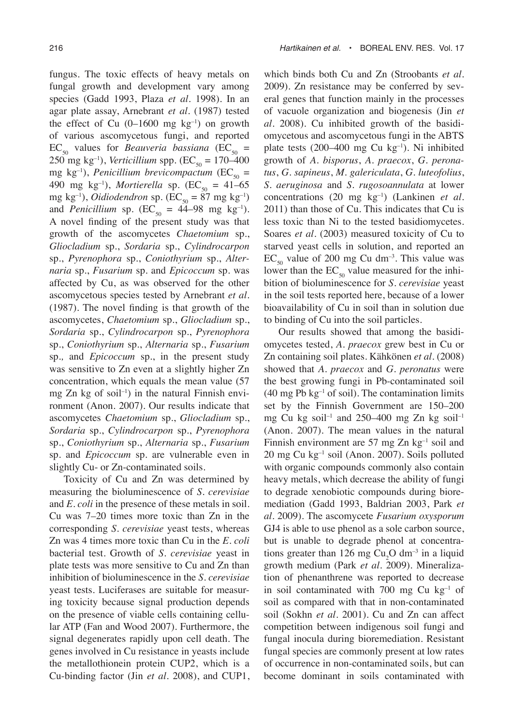fungus. The toxic effects of heavy metals on fungal growth and development vary among species (Gadd 1993, Plaza *et al.* 1998). In an agar plate assay, Arnebrant *et al.* (1987) tested the effect of Cu  $(0-1600 \text{ mg kg}^{-1})$  on growth of various ascomycetous fungi, and reported  $EC_{50}$  values for *Beauveria bassiana* (EC<sub>50</sub> =  $250 \text{ mg kg}^{-1}$ ), *Verticillium* spp. (EC<sub>50</sub> = 170–400 mg kg<sup>-1</sup>), *Penicillium brevicompactum* (EC<sub>50</sub> = 490 mg kg<sup>-1</sup>), *Mortierella* sp. (EC<sub>50</sub> = 41–65 mg kg<sup>-1</sup>), *Oidiodendron* sp. ( $EC_{50} = 87$  mg kg<sup>-1</sup>) and *Penicillium* sp. (EC<sub>50</sub> =  $44 - 98$  mg kg<sup>-1</sup>). A novel finding of the present study was that growth of the ascomycetes *Chaetomium* sp., *Gliocladium* sp., *Sordaria* sp., *Cylindrocarpon* sp., *Pyrenophora* sp., *Coniothyrium* sp., *Alternaria* sp., *Fusarium* sp*.* and *Epicoccum* sp*.* was affected by Cu, as was observed for the other ascomycetous species tested by Arnebrant *et al.* (1987). The novel finding is that growth of the ascomycetes, *Chaetomium* sp., *Gliocladium* sp., *Sordaria* sp., *Cylindrocarpon* sp., *Pyrenophora*  sp., *Coniothyrium* sp., *Alternaria* sp., *Fusarium*  sp.*,* and *Epicoccum* sp., in the present study was sensitive to Zn even at a slightly higher Zn concentration, which equals the mean value (57 mg  $Zn$  kg of soil<sup>-1</sup>) in the natural Finnish environment (Anon. 2007). Our results indicate that ascomycetes *Chaetomium* sp., *Gliocladium* sp., *Sordaria* sp., *Cylindrocarpon* sp., *Pyrenophora*  sp., *Coniothyrium* sp., *Alternaria* sp., *Fusarium*  sp. and *Epicoccum* sp*.* are vulnerable even in

slightly Cu- or Zn-contaminated soils. Toxicity of Cu and Zn was determined by measuring the bioluminescence of *S. cerevisiae* and *E. coli* in the presence of these metals in soil. Cu was 7–20 times more toxic than Zn in the corresponding *S. cerevisiae* yeast tests, whereas Zn was 4 times more toxic than Cu in the *E. coli* bacterial test. Growth of *S. cerevisiae* yeast in plate tests was more sensitive to Cu and Zn than inhibition of bioluminescence in the *S. cerevisiae* yeast tests. Luciferases are suitable for measuring toxicity because signal production depends on the presence of viable cells containing cellular ATP (Fan and Wood 2007). Furthermore, the signal degenerates rapidly upon cell death. The genes involved in Cu resistance in yeasts include the metallothionein protein CUP2, which is a Cu-binding factor (Jin *et al.* 2008), and CUP1, which binds both Cu and Zn (Stroobants *et al.* 2009). Zn resistance may be conferred by several genes that function mainly in the processes of vacuole organization and biogenesis (Jin *et al.* 2008). Cu inhibited growth of the basidiomycetous and ascomycetous fungi in the ABTS plate tests  $(200-400 \text{ mg Cu kg}^{-1})$ . Ni inhibited growth of *A. bisporus*, *A. praecox*, *G. peronatus*, *G. sapineus*, *M. galericulata*, *G. luteofolius*, *S. aeruginosa* and *S. rugosoannulata* at lower concentrations (20 mg kg–1) (Lankinen *et al.* 2011) than those of Cu. This indicates that Cu is less toxic than Ni to the tested basidiomycetes. Soares *et al.* (2003) measured toxicity of Cu to starved yeast cells in solution, and reported an  $EC_{50}$  value of 200 mg Cu dm<sup>-3</sup>. This value was lower than the  $EC_{50}$  value measured for the inhibition of bioluminescence for *S. cerevisiae* yeast in the soil tests reported here, because of a lower bioavailability of Cu in soil than in solution due to binding of Cu into the soil particles.

Our results showed that among the basidiomycetes tested, *A. praecox* grew best in Cu or Zn containing soil plates. Kähkönen *et al.* (2008) showed that *A. praecox* and *G. peronatus* were the best growing fungi in Pb-contaminated soil  $(40 \text{ mg Pb kg}^{-1} \text{ of soil})$ . The contamination limits set by the Finnish Government are 150–200 mg Cu kg soil<sup>-1</sup> and 250–400 mg Zn kg soil<sup>-1</sup> (Anon. 2007). The mean values in the natural Finnish environment are 57 mg Zn  $kg<sup>-1</sup>$  soil and 20 mg Cu kg–1 soil (Anon. 2007). Soils polluted with organic compounds commonly also contain heavy metals, which decrease the ability of fungi to degrade xenobiotic compounds during bioremediation (Gadd 1993, Baldrian 2003, Park *et al.* 2009). The ascomycete *Fusarium oxysporum* GJ4 is able to use phenol as a sole carbon source, but is unable to degrade phenol at concentrations greater than 126 mg  $Cu<sub>2</sub>O$  dm<sup>-3</sup> in a liquid growth medium (Park *et al.* 2009). Mineralization of phenanthrene was reported to decrease in soil contaminated with 700 mg Cu  $kg^{-1}$  of soil as compared with that in non-contaminated soil (Sokhn *et al.* 2001). Cu and Zn can affect competition between indigenous soil fungi and fungal inocula during bioremediation. Resistant fungal species are commonly present at low rates of occurrence in non-contaminated soils, but can become dominant in soils contaminated with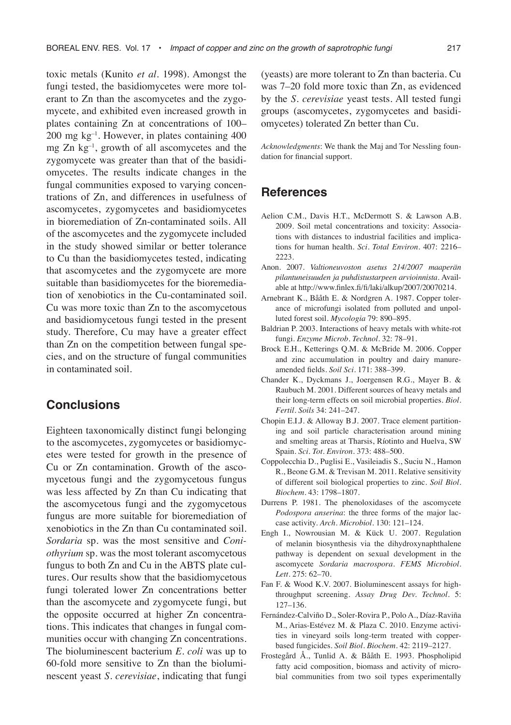toxic metals (Kunito *et al.* 1998). Amongst the fungi tested, the basidiomycetes were more tolerant to Zn than the ascomycetes and the zygomycete, and exhibited even increased growth in plates containing Zn at concentrations of 100– 200 mg kg–1. However, in plates containing 400 mg Zn kg–1, growth of all ascomycetes and the zygomycete was greater than that of the basidiomycetes. The results indicate changes in the fungal communities exposed to varying concentrations of Zn, and differences in usefulness of ascomycetes, zygomycetes and basidiomycetes in bioremediation of Zn-contaminated soils. All of the ascomycetes and the zygomycete included in the study showed similar or better tolerance to Cu than the basidiomycetes tested, indicating that ascomycetes and the zygomycete are more suitable than basidiomycetes for the bioremediation of xenobiotics in the Cu-contaminated soil. Cu was more toxic than Zn to the ascomycetous and basidiomycetous fungi tested in the present study. Therefore, Cu may have a greater effect than Zn on the competition between fungal species, and on the structure of fungal communities in contaminated soil.

# **Conclusions**

Eighteen taxonomically distinct fungi belonging to the ascomycetes, zygomycetes or basidiomycetes were tested for growth in the presence of Cu or Zn contamination. Growth of the ascomycetous fungi and the zygomycetous fungus was less affected by Zn than Cu indicating that the ascomycetous fungi and the zygomycetous fungus are more suitable for bioremediation of xenobiotics in the Zn than Cu contaminated soil. *Sordaria* sp. was the most sensitive and *Coniothyrium* sp. was the most tolerant ascomycetous fungus to both Zn and Cu in the ABTS plate cultures. Our results show that the basidiomycetous fungi tolerated lower Zn concentrations better than the ascomycete and zygomycete fungi, but the opposite occurred at higher Zn concentrations. This indicates that changes in fungal communities occur with changing Zn concentrations. The bioluminescent bacterium *E. coli* was up to 60-fold more sensitive to Zn than the bioluminescent yeast *S. cerevisiae*, indicating that fungi (yeasts) are more tolerant to Zn than bacteria. Cu was 7–20 fold more toxic than Zn, as evidenced by the *S. cerevisiae* yeast tests. All tested fungi groups (ascomycetes, zygomycetes and basidiomycetes) tolerated Zn better than Cu.

*Acknowledgments*: We thank the Maj and Tor Nessling foundation for financial support.

# **References**

- Aelion C.M., Davis H.T., McDermott S. & Lawson A.B. 2009. Soil metal concentrations and toxicity: Associations with distances to industrial facilities and implications for human health. *Sci. Total Environ*. 407: 2216– 2223.
- Anon. 2007. *Valtioneuvoston asetus 214/2007 maaperän pilantuneisuuden ja puhdistustarpeen arvioinnista*. Available at http://www.finlex.fi/fi/laki/alkup/2007/20070214.
- Arnebrant K., Bååth E. & Nordgren A. 1987. Copper tolerance of microfungi isolated from polluted and unpolluted forest soil. *Mycologia* 79: 890–895.
- Baldrian P. 2003. Interactions of heavy metals with white-rot fungi. *Enzyme Microb. Technol*. 32: 78–91.
- Brock E.H., Ketterings Q.M. & McBride M. 2006. Copper and zinc accumulation in poultry and dairy manureamended fields. *Soil Sci.* 171: 388–399.
- Chander K., Dyckmans J., Joergensen R.G., Mayer B. & Raubuch M. 2001. Different sources of heavy metals and their long-term effects on soil microbial properties. *Biol. Fertil. Soils* 34: 241–247.
- Chopin E.I.J. & Alloway B.J. 2007. Trace element partitioning and soil particle characterisation around mining and smelting areas at Tharsis, Ríotinto and Huelva, SW Spain. *Sci. Tot. Environ.* 373: 488–500.
- Coppolecchia D., Puglisi E., Vasileiadis S., Suciu N., Hamon R., Beone G.M. & Trevisan M. 2011. Relative sensitivity of different soil biological properties to zinc. *Soil Biol. Biochem*. 43: 1798–1807.
- Durrens P. 1981. The phenoloxidases of the ascomycete *Podospora anserina*: the three forms of the major laccase activity. *Arch. Microbiol.* 130: 121–124.
- Engh I., Nowrousian M. & Kück U. 2007. Regulation of melanin biosynthesis via the dihydroxynaphthalene pathway is dependent on sexual development in the ascomycete *Sordaria macrospora*. *FEMS Microbiol. Lett.* 275: 62–70.
- Fan F. & Wood K.V. 2007. Bioluminescent assays for highthroughput screening. *Assay Drug Dev. Technol.* 5: 127–136.
- Fernández-Calviño D., Soler-Rovira P., Polo A., Díaz-Raviña M., Arias-Estévez M. & Plaza C. 2010. Enzyme activities in vineyard soils long-term treated with copperbased fungicides. *Soil Biol. Biochem.* 42: 2119–2127.
- Frostegård Å., Tunlid A. & Bååth E. 1993. Phospholipid fatty acid composition, biomass and activity of microbial communities from two soil types experimentally